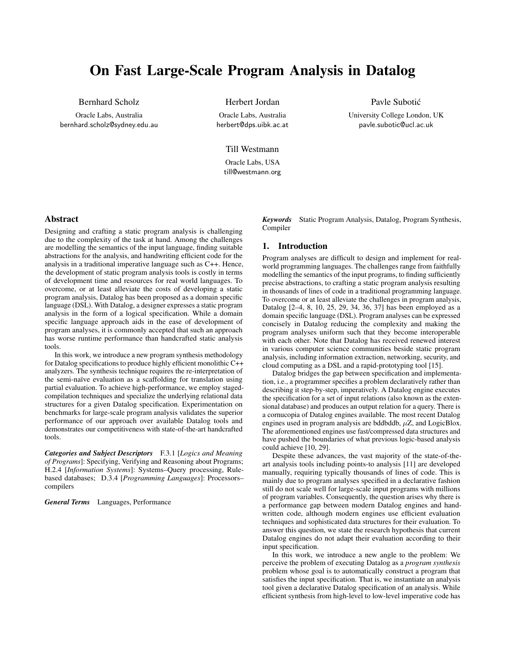# On Fast Large-Scale Program Analysis in Datalog

Bernhard Scholz

Oracle Labs, Australia bernhard.scholz@sydney.edu.au Herbert Jordan

Oracle Labs, Australia herbert@dps.uibk.ac.at

Pavle Subotić University College London, UK pavle.subotic@ucl.ac.uk

Till Westmann Oracle Labs, USA till@westmann.org

Abstract

Designing and crafting a static program analysis is challenging due to the complexity of the task at hand. Among the challenges are modelling the semantics of the input language, finding suitable abstractions for the analysis, and handwriting efficient code for the analysis in a traditional imperative language such as C++. Hence, the development of static program analysis tools is costly in terms of development time and resources for real world languages. To overcome, or at least alleviate the costs of developing a static program analysis, Datalog has been proposed as a domain specific language (DSL). With Datalog, a designer expresses a static program analysis in the form of a logical specification. While a domain specific language approach aids in the ease of development of program analyses, it is commonly accepted that such an approach has worse runtime performance than handcrafted static analysis tools.

In this work, we introduce a new program synthesis methodology for Datalog specifications to produce highly efficient monolithic C++ analyzers. The synthesis technique requires the re-interpretation of the semi-naïve evaluation as a scaffolding for translation using partial evaluation. To achieve high-performance, we employ stagedcompilation techniques and specialize the underlying relational data structures for a given Datalog specification. Experimentation on benchmarks for large-scale program analysis validates the superior performance of our approach over available Datalog tools and demonstrates our competitiveness with state-of-the-art handcrafted tools.

*Categories and Subject Descriptors* F.3.1 [*Logics and Meaning of Programs*]: Specifying, Verifying and Reasoning about Programs; H.2.4 [*Information Systems*]: Systems–Query processing, Rulebased databases; D.3.4 [*Programming Languages*]: Processors– compilers

*General Terms* Languages, Performance

*Keywords* Static Program Analysis, Datalog, Program Synthesis, Compiler

## 1. Introduction

Program analyses are difficult to design and implement for realworld programming languages. The challenges range from faithfully modelling the semantics of the input programs, to finding sufficiently precise abstractions, to crafting a static program analysis resulting in thousands of lines of code in a traditional programming language. To overcome or at least alleviate the challenges in program analysis, Datalog [\[2–](#page-9-0)[4,](#page-9-1) [8,](#page-9-2) [10,](#page-9-3) [25,](#page-10-0) [29,](#page-10-1) [34,](#page-10-2) [36,](#page-10-3) [37\]](#page-10-4) has been employed as a domain specific language (DSL). Program analyses can be expressed concisely in Datalog reducing the complexity and making the program analyses uniform such that they become interoperable with each other. Note that Datalog has received renewed interest in various computer science communities beside static program analysis, including information extraction, networking, security, and cloud computing as a DSL and a rapid-prototyping tool [\[15\]](#page-10-5).

Datalog bridges the gap between specification and implementation, i.e., a programmer specifies a problem declaratively rather than describing it step-by-step, imperatively. A Datalog engine executes the specification for a set of input relations (also known as the extensional database) and produces an output relation for a query. There is a cornucopia of Datalog engines available. The most recent Datalog engines used in program analysis are bddbddb,  $\mu$ Z, and LogicBlox. The aforementioned engines use fast/compressed data structures and have pushed the boundaries of what previous logic-based analysis could achieve [\[10,](#page-9-3) [29\]](#page-10-1).

Despite these advances, the vast majority of the state-of-theart analysis tools including points-to analysis [\[11\]](#page-9-4) are developed manually, requiring typically thousands of lines of code. This is mainly due to program analyses specified in a declarative fashion still do not scale well for large-scale input programs with millions of program variables. Consequently, the question arises why there is a performance gap between modern Datalog engines and handwritten code, although modern engines use efficient evaluation techniques and sophisticated data structures for their evaluation. To answer this question, we state the research hypothesis that current Datalog engines do not adapt their evaluation according to their input specification.

In this work, we introduce a new angle to the problem: We perceive the problem of executing Datalog as a *program synthesis* problem whose goal is to automatically construct a program that satisfies the input specification. That is, we instantiate an analysis tool given a declarative Datalog specification of an analysis. While efficient synthesis from high-level to low-level imperative code has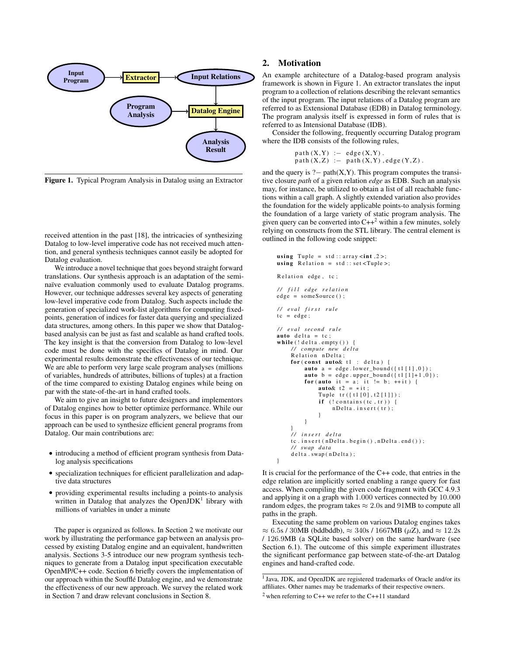

<span id="page-1-2"></span>Figure 1. Typical Program Analysis in Datalog using an Extractor

received attention in the past [\[18\]](#page-10-6), the intricacies of synthesizing Datalog to low-level imperative code has not received much attention, and general synthesis techniques cannot easily be adopted for Datalog evaluation.

We introduce a novel technique that goes beyond straight forward translations. Our synthesis approach is an adaptation of the seminaïve evaluation commonly used to evaluate Datalog programs. However, our technique addresses several key aspects of generating low-level imperative code from Datalog. Such aspects include the generation of specialized work-list algorithms for computing fixedpoints, generation of indices for faster data querying and specialized data structures, among others. In this paper we show that Datalogbased analysis can be just as fast and scalable as hand crafted tools. The key insight is that the conversion from Datalog to low-level code must be done with the specifics of Datalog in mind. Our experimental results demonstrate the effectiveness of our technique. We are able to perform very large scale program analyses (millions of variables, hundreds of attributes, billions of tuples) at a fraction of the time compared to existing Datalog engines while being on par with the state-of-the-art in hand crafted tools.

We aim to give an insight to future designers and implementors of Datalog engines how to better optimize performance. While our focus in this paper is on program analyzers, we believe that our approach can be used to synthesize efficient general programs from Datalog. Our main contributions are:

- introducing a method of efficient program synthesis from Datalog analysis specifications
- specialization techniques for efficient parallelization and adaptive data structures
- providing experimental results including a points-to analysis written in Datalog that analyzes the OpenJD $K<sup>1</sup>$  $K<sup>1</sup>$  $K<sup>1</sup>$  library with millions of variables in under a minute

The paper is organized as follows. In Section [2](#page-1-1) we motivate our work by illustrating the performance gap between an analysis processed by existing Datalog engine and an equivalent, handwritten analysis. Sections [3-](#page-2-0)[5](#page-5-0) introduce our new program synthesis techniques to generate from a Datalog input specification executable OpenMP/C++ code. Section [6](#page-6-0) briefly covers the implementation of our approach within the Soufflé Datalog engine, and we demonstrate the effectiveness of our new approach. We survey the related work in Section [7](#page-8-0) and draw relevant conclusions in Section [8.](#page-9-5)

# <span id="page-1-1"></span>2. Motivation

An example architecture of a Datalog-based program analysis framework is shown in Figure [1.](#page-1-2) An extractor translates the input program to a collection of relations describing the relevant semantics of the input program. The input relations of a Datalog program are referred to as Extensional Database (EDB) in Datalog terminology. The program analysis itself is expressed in form of rules that is referred to as Intensional Database (IDB).

Consider the following, frequently occurring Datalog program where the IDB consists of the following rules,

```
path(X,Y) := edge(X,Y).
path(X, Z) := path(X, Y), edge(Y, Z).
```
and the query is  $?$  – path $(X, Y)$ . This program computes the transitive closure *path* of a given relation *edge* as EDB. Such an analysis may, for instance, be utilized to obtain a list of all reachable functions within a call graph. A slightly extended variation also provides the foundation for the widely applicable points-to analysis forming the foundation of a large variety of static program analysis. The given query can be converted into  $C++^2$  $C++^2$  within a few minutes, solely relying on constructs from the STL library. The central element is outlined in the following code snippet:

```
using Tuple = std :: array < int , 2 >;using Relation = std::set <Tuple;
Relation edge, tc;
/ / f i l l e d ge r e l a t i o n
edge = someSource();
/ / e v a l f i r s t r u l e
tc = edge;/ / e v a l s e c o n d r u l e
auto delta = tc;
while (! delta. empty() \{/ / c om p ute new d e l t a
     Relation nDelta;
     for (const \tauto& t1 : delta)auto a = edge.lower_bound( {t1 [1], 0 } );
         auto b = edge.append({\{t1[1]+1,0\}});for (auto it = a; it != b; ++it) {
              auto& t2 = *it ;Tuple tr({t1[0], t2[1]});
              if (! contains (tc, tr)) {
                   n Delta. in sert (tr);
              }
         }
     }
     / / i n s e r t d e l t a
     tc. in sert (nDelta. begin(), nDelta. end());
     / / swap d at a
     d e l t a . swap (n D e l t a ) ;
}
```
It is crucial for the performance of the C++ code, that entries in the edge relation are implicitly sorted enabling a range query for fast access. When compiling the given code fragment with GCC 4.9.3 and applying it on a graph with 1.000 vertices connected by 10.000 random edges, the program takes  $\approx 2.0$ s and 91MB to compute all paths in the graph.

Executing the same problem on various Datalog engines takes  $\approx 6.5$ s / 30MB (bddbddb),  $\approx 340$ s / 1667MB ( $\mu$ Z), and  $\approx 12.2$ s / 126.9MB (a SQLite based solver) on the same hardware (see Section [6.1\)](#page-6-1). The outcome of this simple experiment illustrates the significant performance gap between state-of-the-art Datalog engines and hand-crafted code.

<span id="page-1-0"></span><sup>&</sup>lt;sup>1</sup> Java, JDK, and OpenJDK are registered trademarks of Oracle and/or its affiliates. Other names may be trademarks of their respective owners.

<span id="page-1-3"></span><sup>&</sup>lt;sup>2</sup> when referring to C++ we refer to the C++11 standard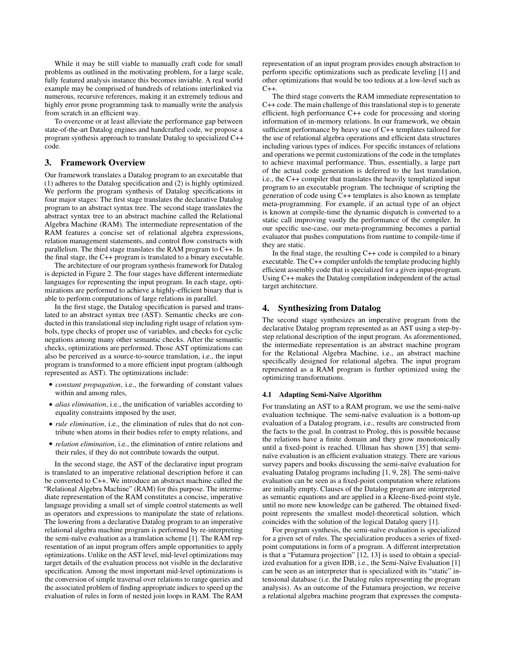While it may be still viable to manually craft code for small problems as outlined in the motivating problem, for a large scale, fully featured analysis instance this becomes inviable. A real world example may be comprised of hundreds of relations interlinked via numerous, recursive references, making it an extremely tedious and highly error prone programming task to manually write the analysis from scratch in an efficient way.

To overcome or at least alleviate the performance gap between state-of-the-art Datalog engines and handcrafted code, we propose a program synthesis approach to translate Datalog to specialized C++ code.

## <span id="page-2-0"></span>3. Framework Overview

Our framework translates a Datalog program to an executable that (1) adheres to the Datalog specification and (2) is highly optimized. We perform the program synthesis of Datalog specifications in four major stages: The first stage translates the declarative Datalog program to an abstract syntax tree. The second stage translates the abstract syntax tree to an abstract machine called the Relational Algebra Machine (RAM). The intermediate representation of the RAM features a concise set of relational algebra expressions, relation management statements, and control flow constructs with parallelism. The third stage translates the RAM program to C++. In the final stage, the C++ program is translated to a binary executable.

The architecture of our program synthesis framework for Datalog is depicted in Figure [2.](#page-3-0) The four stages have different intermediate languages for representing the input program. In each stage, optimizations are performed to achieve a highly-efficient binary that is able to perform computations of large relations in parallel.

In the first stage, the Datalog specification is parsed and translated to an abstract syntax tree (AST). Semantic checks are conducted in this translational step including right usage of relation symbols, type checks of proper use of variables, and checks for cyclic negations among many other semantic checks. After the semantic checks, optimizations are performed. Those AST optimizations can also be perceived as a source-to-source translation, i.e., the input program is transformed to a more efficient input program (although represented as AST). The optimizations include:

- *constant propagation*, i.e., the forwarding of constant values within and among rules,
- *alias elimination*, i.e., the unification of variables according to equality constraints imposed by the user,
- *rule elimination*, i.e., the elimination of rules that do not contribute when atoms in their bodies refer to empty relations, and
- *relation elimination*, i.e., the elimination of entire relations and their rules, if they do not contribute towards the output.

In the second stage, the AST of the declarative input program is translated to an imperative relational description before it can be converted to C++. We introduce an abstract machine called the "Relational Algebra Machine" (RAM) for this purpose. The intermediate representation of the RAM constitutes a concise, imperative language providing a small set of simple control statements as well as operators and expressions to manipulate the state of relations. The lowering from a declarative Datalog program to an imperative relational algebra machine program is performed by re-interpreting the semi-naïve evaluation as a translation scheme [\[1\]](#page-9-6). The RAM representation of an input program offers ample opportunities to apply optimizations. Unlike on the AST level, mid-level optimizations may target details of the evaluation process not visible in the declarative specification. Among the most important mid-level optimizations is the conversion of simple traversal over relations to range queries and the associated problem of finding appropriate indices to speed up the evaluation of rules in form of nested join loops in RAM. The RAM representation of an input program provides enough abstraction to perform specific optimizations such as predicate leveling [\[1\]](#page-9-6) and other optimizations that would be too tedious at a low-level such as  $C_{++}$ .

The third stage converts the RAM immediate representation to C++ code. The main challenge of this translational step is to generate efficient, high performance C++ code for processing and storing information of in-memory relations. In our framework, we obtain sufficient performance by heavy use of C++ templates tailored for the use of relational algebra operations and efficient data structures including various types of indices. For specific instances of relations and operations we permit customizations of the code in the templates to achieve maximal performance. Thus, essentially, a large part of the actual code generation is deferred to the last translation, i.e., the C++ compiler that translates the heavily templatized input program to an executable program. The technique of scripting the generation of code using C++ templates is also known as template meta-programming. For example, if an actual type of an object is known at compile-time the dynamic dispatch is converted to a static call improving vastly the performance of the compiler. In our specific use-case, our meta-programming becomes a partial evaluator that pushes computations from runtime to compile-time if they are static.

In the final stage, the resulting  $C++$  code is compiled to a binary executable. The C++ compiler unfolds the template producing highly efficient assembly code that is specialized for a given input-program. Using C++ makes the Datalog compilation independent of the actual target architecture.

## 4. Synthesizing from Datalog

The second stage synthesizes an imperative program from the declarative Datalog program represented as an AST using a step-bystep relational description of the input program. As aforementioned, the intermediate representation is an abstract machine program for the Relational Algebra Machine, i.e., an abstract machine specifically designed for relational algebra. The input program represented as a RAM program is further optimized using the optimizing transformations.

#### 4.1 Adapting Semi-Naïve Algorithm

For translating an AST to a RAM program, we use the semi-naïve evaluation technique. The semi-naïve evaluation is a bottom-up evaluation of a Datalog program, i.e., results are constructed from the facts to the goal. In contrast to Prolog, this is possible because the relations have a finite domain and they grow monotonically until a fixed-point is reached. Ullman has shown [\[35\]](#page-10-7) that seminaïve evaluation is an efficient evaluation strategy. There are various survey papers and books discussing the semi-naïve evaluation for evaluating Datalog programs including [\[1,](#page-9-6) [9,](#page-9-7) [28\]](#page-10-8). The semi-naïve evaluation can be seen as a fixed-point computation where relations are initially empty. Clauses of the Datalog program are interpreted as semantic equations and are applied in a Kleene-fixed-point style, until no more new knowledge can be gathered. The obtained fixedpoint represents the smallest model-theoretical solution, which coincides with the solution of the logical Datalog query [\[1\]](#page-9-6).

For program synthesis, the semi-naïve evaluation is specialized for a given set of rules. The specialization produces a series of fixedpoint computations in form of a program. A different interpretation is that a "Futamura projection" [\[12,](#page-9-8) [13\]](#page-9-9) is used to obtain a specialized evaluation for a given IDB, i.e., the Semi-Naïve Evaluation [\[1\]](#page-9-6) can be seen as an interpreter that is specialized with its "static" intensional database (i.e. the Datalog rules representing the program analysis). As an outcome of the Futamura projection, we receive a relational algebra machine program that expresses the computa-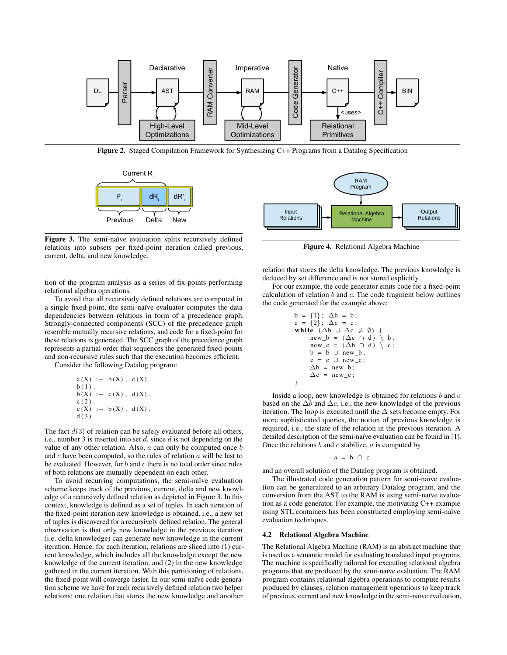

<span id="page-3-0"></span>Figure 2. Staged Compilation Framework for Synthesizing C++ Programs from a Datalog Specification



<span id="page-3-1"></span>Figure 3. The semi-naïve evaluation splits recursively defined relations into subsets per fixed-point iteration called previous, current, delta, and new knowledge.

tion of the program analysis as a series of fix-points performing relational algebra operations.

To avoid that all recursively defined relations are computed in a single fixed-point, the semi-naïve evaluator computes the data dependencies between relations in form of a precedence graph. Strongly-connected components (SCC) of the precedence graph resemble mutually recursive relations, and code for a fixed-point for these relations is generated. The SCC graph of the precedence graph represents a partial order that sequences the generated fixed-points and non-recursive rules such that the execution becomes efficient.

Consider the following Datalog program:

$$
a(X) := b(X), c(X).
$$
  
\n
$$
b(1).
$$
  
\n
$$
b(X) := c(X), d(X).
$$
  
\n
$$
c(2).
$$
  
\n
$$
c(X) := b(X), d(X).
$$
  
\n
$$
d(3).
$$

The fact  $d(3)$  of relation can be safely evaluated before all others, i.e., number 3 is inserted into set  $d$ , since  $d$  is not depending on the value of any other relation. Also,  $a$  can only be computed once  $b$ and  $c$  have been computed, so the rules of relation  $a$  will be last to be evaluated. However, for  $b$  and  $c$  there is no total order since rules of both relations are mutually dependent on each other.

To avoid recurring computations, the semi-naïve evaluation scheme keeps track of the previous, current, delta and new knowledge of a recursively defined relation as depicted in Figure [3.](#page-3-1) In this context, knowledge is defined as a set of tuples. In each iteration of the fixed-point iteration new knowledge is obtained, i.e., a new set of tuples is discovered for a recursively defined relation. The general observation is that only new knowledge in the previous iteration (i.e. delta knowledge) can generate new knowledge in the current iteration. Hence, for each iteration, relations are sliced into (1) current knowledge, which includes all the knowledge except the new knowledge of the current iteration, and (2) in the new knowledge gathered in the current iteration. With this partitioning of relations, the fixed-point will converge faster. In our semi-naïve code generation scheme we have for each recursively defined relation two helper relations: one relation that stores the new knowledge and another



<span id="page-3-2"></span>Figure 4. Relational Algebra Machine

relation that stores the delta knowledge. The previous knowledge is deduced by set difference and is not stored explicitly.

For our example, the code generator emits code for a fixed-point calculation of relation  $b$  and  $c$ . The code fragment below outlines the code generated for the example above:

$$
b = \{1\}; \Delta b = b;
$$
  
\n
$$
c = \{2\}; \Delta c = c;
$$
  
\nwhile  $(\Delta b \cup \Delta c \neq \emptyset)$  {  
\nnew\_b =  $(\Delta c \cap d) \setminus b;$   
\nnew\_c =  $(\Delta b \cap d) \setminus c;$   
\n
$$
b = b \cup new_c;
$$
  
\n
$$
c = c \cup new_c;
$$
  
\n
$$
\Delta b = new_c;
$$
  
\n
$$
\Delta c = new_c;
$$

Inside a loop, new knowledge is obtained for relations  $b$  and  $c$ based on the  $\Delta b$  and  $\Delta c$ , i.e., the new knowledge of the previous iteration. The loop is executed until the  $\Delta$  sets become empty. For more sophisticated queries, the notion of previous knowledge is required, i.e., the state of the relation in the previous iteration. A detailed description of the semi-naïve evaluation can be found in [\[1\]](#page-9-6). Once the relations  $b$  and  $c$  stabilize,  $a$  is computed by

$$
a = b \cap c
$$

and an overall solution of the Datalog program is obtained.

The illustrated code generation pattern for semi-naïve evaluation can be generalized to an arbitrary Datalog program, and the conversion from the AST to the RAM is using semi-naïve evaluation as a code generator. For example, the motivating C++ example using STL containers has been constructed employing semi-naïve evaluation techniques.

#### 4.2 Relational Algebra Machine

The Relational Algebra Machine (RAM) is an abstract machine that is used as a semantic model for evaluating translated input programs. The machine is specifically tailored for executing relational algebra programs that are produced by the semi-naïve evaluation. The RAM program contains relational algebra operations to compute results produced by clauses, relation management operations to keep track of previous, current and new knowledge in the semi-naïve evaluation,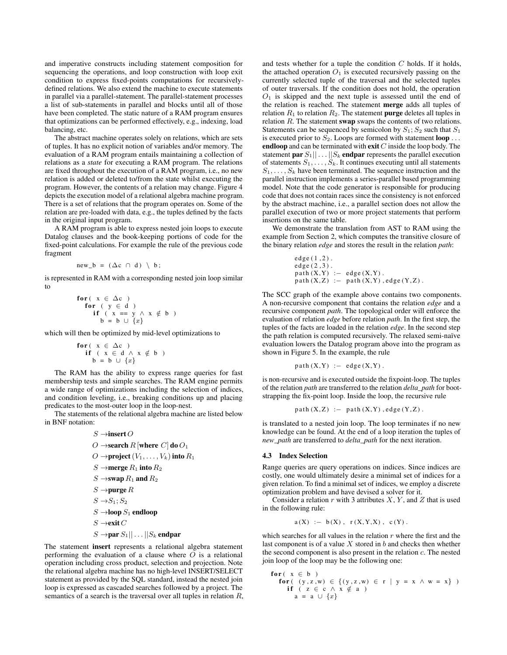and imperative constructs including statement composition for sequencing the operations, and loop construction with loop exit condition to express fixed-points computations for recursivelydefined relations. We also extend the machine to execute statements in parallel via a parallel-statement. The parallel-statement processes a list of sub-statements in parallel and blocks until all of those have been completed. The static nature of a RAM program ensures that optimizations can be performed effectively, e.g., indexing, load balancing, etc.

The abstract machine operates solely on relations, which are sets of tuples. It has no explicit notion of variables and/or memory. The evaluation of a RAM program entails maintaining a collection of relations as a *state* for executing a RAM program. The relations are fixed throughout the execution of a RAM program, i.e., no new relation is added or deleted to/from the state whilst executing the program. However, the contents of a relation may change. Figure [4](#page-3-2) depicts the execution model of a relational algebra machine program. There is a set of relations that the program operates on. Some of the relation are pre-loaded with data, e.g., the tuples defined by the facts in the original input program.

A RAM program is able to express nested join loops to execute Datalog clauses and the book-keeping portions of code for the fixed-point calculations. For example the rule of the previous code fragment

$$
new_b = (\Delta c \cap d) \setminus b;
$$

is represented in RAM with a corresponding nested join loop similar to

for 
$$
(x \in \Delta c)
$$
  
\nfor  $(y \in d)$   
\nif  $(x == y \land x \notin b)$   
\n $b = b \cup \{x\}$ 

which will then be optimized by mid-level optimizations to

**for** (
$$
x \in \Delta c
$$
)  
\n**if** ( $x \in d \land x \notin b$ )  
\n**b** =  $b \cup \{x\}$ 

The RAM has the ability to express range queries for fast membership tests and simple searches. The RAM engine permits a wide range of optimizations including the selection of indices, and condition leveling, i.e., breaking conditions up and placing predicates to the most-outer loop in the loop-nest.

The statements of the relational algebra machine are listed below in BNF notation:

$$
S \rightarrow insert O
$$
  
\n
$$
O \rightarrow search R [where C] do O1
$$
  
\n
$$
O \rightarrow project (V1, ..., Vk) into R1
$$
  
\n
$$
S \rightarrow merge R1 into R2
$$
  
\n
$$
S \rightarrow swap R1 and R2
$$
  
\n
$$
S \rightarrow pure R
$$
  
\n
$$
S \rightarrow S1; S2
$$
  
\n
$$
S \rightarrow loop S1 endloop
$$
  
\n
$$
S \rightarrow exit C
$$

$$
S \rightarrow \textbf{par} S_1 || \dots || S_k \textbf{ endpar}
$$

The statement insert represents a relational algebra statement performing the evaluation of a clause where  $O$  is a relational operation including cross product, selection and projection. Note the relational algebra machine has no high-level INSERT/SELECT statement as provided by the SQL standard, instead the nested join loop is expressed as cascaded searches followed by a project. The semantics of a search is the traversal over all tuples in relation  $R$ , and tests whether for a tuple the condition  $C$  holds. If it holds, the attached operation  $O_1$  is executed recursively passing on the currently selected tuple of the traversal and the selected tuples of outer traversals. If the condition does not hold, the operation  $O_1$  is skipped and the next tuple is assessed until the end of the relation is reached. The statement merge adds all tuples of relation  $R_1$  to relation  $R_2$ . The statement **purge** deletes all tuples in relation R. The statement swap swaps the contents of two relations. Statements can be sequenced by semicolon by  $S_1$ ;  $S_2$  such that  $S_1$ is executed prior to  $S_2$ . Loops are formed with statement **loop** ... endloop and can be terminated with exit  $C$  inside the loop body. The statement par  $S_1|| \dots || S_k$  endpar represents the parallel execution of statements  $S_1, \ldots, S_k$ . It continues executing until all statements  $S_1, \ldots, S_k$  have been terminated. The sequence instruction and the parallel instruction implements a series-parallel based programming model. Note that the code generator is responsible for producing code that does not contain races since the consistency is not enforced by the abstract machine, i.e., a parallel section does not allow the parallel execution of two or more project statements that perform insertions on the same table.

We demonstrate the translation from AST to RAM using the example from Section [2,](#page-1-1) which computes the transitive closure of the binary relation *edge* and stores the result in the relation *path*:

$$
edge (1, 2).
$$
  
edge (2, 3).  
path (X, Y) :- edge (X, Y).  
path (X, Z) :- path (X, Y), edge (Y, Z).

The SCC graph of the example above contains two components. A non-recursive component that contains the relation *edge* and a recursive component *path*. The topological order will enforce the evaluation of relation *edge* before relation *path*. In the first step, the tuples of the facts are loaded in the relation *edge*. In the second step the path relation is computed recursively. The relaxed semi-naïve evaluation lowers the Datalog program above into the program as shown in Figure [5.](#page-5-1) In the example, the rule

$$
path(X,Y) := edge(X,Y).
$$

is non-recursive and is executed outside the fixpoint-loop. The tuples of the relation *path* are transferred to the relation *delta\_path* for bootstrapping the fix-point loop. Inside the loop, the recursive rule

$$
path(X,Z) := path(X,Y), edge(Y,Z).
$$

is translated to a nested join loop. The loop terminates if no new knowledge can be found. At the end of a loop iteration the tuples of *new\_path* are transferred to *delta\_path* for the next iteration.

#### 4.3 Index Selection

Range queries are query operations on indices. Since indices are costly, one would ultimately desire a minimal set of indices for a given relation. To find a minimal set of indices, we employ a discrete optimization problem and have devised a solver for it.

Consider a relation  $r$  with 3 attributes  $X, Y$ , and  $Z$  that is used in the following rule:

$$
a(X) := b(X), r(X, Y, X), c(Y).
$$

which searches for all values in the relation  $r$  where the first and the last component is of a value  $X$  stored in  $b$  and checks then whether the second component is also present in the relation  $c$ . The nested join loop of the loop may be the following one:

$$
\begin{array}{ll}\n\textbf{for} \, (\, \, x \, \in \, b \, \, ) \\
\textbf{for} \, (\, \, ( \, y \, , z \, , w ) \, \in \, \{ \, (y \, , z \, , w) \, \in \, r \, \mid \, y \, = \, x \, \land \, w \, = \, x \, \} \, \, ) \\
\textbf{if} \, (\, \, z \, \in \, c \, \land \, x \, \notin \, a \, \, ) \\
\textbf{a} \, = \, a \, \cup \, \{ x \} \\
\end{array}
$$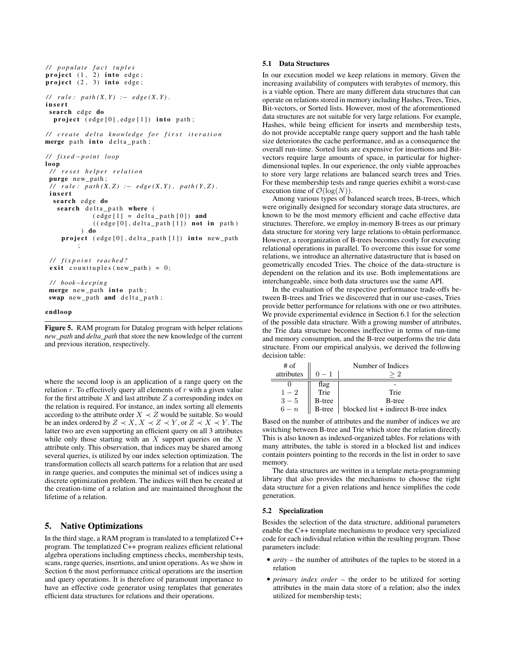```
/ / p o p u l a t e f a c t t u p l e s
project (1, 2) into edge;
project (2, 3) into edge;// rule: 1cm; path(X, Y) :- edge(X, Y).
i n s e r t
 search edge do
  project (edge [0], edge [1]) into path;
/ / c r e a t e d e l t a k n owl e d g e f o r f i r s t i t e r a t i o n
merge path into delta_path;
/ / f i x e d −p o i n t l o o p
loop
 / / r e s e t h e l p e r r e l a t i o n
 purge new_path;
 // rule: 1cm; path(X, Z) :- edge(X, Y), path(Y, Z).insert
  search edge do
   search delta_path where (
               \text{(edge [1] = delta-path [0])} and
               (( edge [0], delta_path [1]) not in path)
           ) do
     project \text{(edge[0], delta path[1]}) into new path
          ;
 / / f i x p o i n t r e a c h e d ?
 exit counttuples (new-path) = 0;
 / / book−k e e pi n g
 merge new_path into path;
 swap new_path and delta_path;
endloop
```
<span id="page-5-1"></span>Figure 5. RAM program for Datalog program with helper relations *new\_path* and *delta\_path* that store the new knowledge of the current and previous iteration, respectively.

where the second loop is an application of a range query on the relation  $r$ . To effectively query all elements of  $r$  with a given value for the first attribute  $X$  and last attribute  $Z$  a corresponding index on the relation is required. For instance, an index sorting all elements according to the attribute order  $X \prec Z$  would be suitable. So would be an index ordered by  $Z \prec X$ ,  $X \prec Z \prec Y$ , or  $Z \prec X \prec Y$ . The latter two are even supporting an efficient query on all 3 attributes while only those starting with an  $X$  support queries on the  $X$ attribute only. This observation, that indices may be shared among several queries, is utilized by our index selection optimization. The transformation collects all search patterns for a relation that are used in range queries, and computes the minimal set of indices using a discrete optimization problem. The indices will then be created at the creation-time of a relation and are maintained throughout the lifetime of a relation.

## <span id="page-5-0"></span>5. Native Optimizations

In the third stage, a RAM program is translated to a templatized C++ program. The templatized C++ program realizes efficient relational algebra operations including emptiness checks, membership tests, scans, range queries, insertions, and union operations. As we show in Section [6](#page-6-0) the most performance critical operations are the insertion and query operations. It is therefore of paramount importance to have an effective code generator using templates that generates efficient data structures for relations and their operations.

## 5.1 Data Structures

In our execution model we keep relations in memory. Given the increasing availability of computers with terabytes of memory, this is a viable option. There are many different data structures that can operate on relations stored in memory including Hashes, Trees, Tries, Bit-vectors, or Sorted lists. However, most of the aforementioned data structures are not suitable for very large relations. For example, Hashes, while being efficient for inserts and membership tests, do not provide acceptable range query support and the hash table size deteriorates the cache performance, and as a consequence the overall run-time. Sorted lists are expensive for insertions and Bitvectors require large amounts of space, in particular for higherdimensional tuples. In our experience, the only viable approaches to store very large relations are balanced search trees and Tries. For these membership tests and range queries exhibit a worst-case execution time of  $\mathcal{O}(\log(N)).$ 

Among various types of balanced search trees, B-trees, which were originally designed for secondary storage data structures, are known to be the most memory efficient and cache effective data structures. Therefore, we employ in-memory B-trees as our primary data structure for storing very large relations to obtain performance. However, a reorganization of B-trees becomes costly for executing relational operations in parallel. To overcome this issue for some relations, we introduce an alternative datastructure that is based on geometrically encoded Tries. The choice of the data-structure is dependent on the relation and its use. Both implementations are interchangeable, since both data structures use the same API.

In the evaluation of the respective performance trade-offs between B-trees and Tries we discovered that in our use-cases, Tries provide better performance for relations with one or two attributes. We provide experimental evidence in Section [6.1](#page-6-1) for the selection of the possible data structure. With a growing number of attributes, the Trie data structure becomes ineffective in terms of run-time and memory consumption, and the B-tree outperforms the trie data structure. From our empirical analysis, we derived the following decision table:

| # of<br>attributes | Number of Indices |                                      |
|--------------------|-------------------|--------------------------------------|
|                    |                   |                                      |
|                    | flag              |                                      |
| $1 - 2$            | Trie              | Trie                                 |
| $\frac{3-5}{6-n}$  | B-tree            | <b>B</b> -tree                       |
|                    | B-tree            | blocked list + indirect B-tree index |

Based on the number of attributes and the number of indices we are switching between B-tree and Trie which store the relation directly. This is also known as indexed-organized tables. For relations with many attributes, the table is stored in a blocked list and indices contain pointers pointing to the records in the list in order to save memory.

The data structures are written in a template meta-programming library that also provides the mechanisms to choose the right data structure for a given relations and hence simplifies the code generation.

### 5.2 Specialization

Besides the selection of the data structure, additional parameters enable the C++ template mechanisms to produce very specialized code for each individual relation within the resulting program. Those parameters include:

- *arity* the number of attributes of the tuples to be stored in a relation
- *primary index order* the order to be utilized for sorting attributes in the main data store of a relation; also the index utilized for membership tests;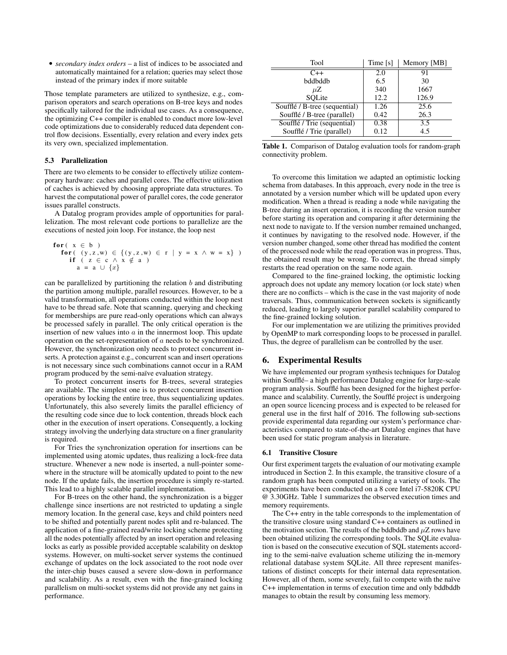• *secondary index orders* – a list of indices to be associated and automatically maintained for a relation; queries may select those instead of the primary index if more suitable

Those template parameters are utilized to synthesize, e.g., comparison operators and search operations on B-tree keys and nodes specifically tailored for the individual use cases. As a consequence, the optimizing C++ compiler is enabled to conduct more low-level code optimizations due to considerably reduced data dependent control flow decisions. Essentially, every relation and every index gets its very own, specialized implementation.

### 5.3 Parallelization

There are two elements to be consider to effectively utilize contemporary hardware: caches and parallel cores. The effective utilization of caches is achieved by choosing appropriate data structures. To harvest the computational power of parallel cores, the code generator issues parallel constructs.

A Datalog program provides ample of opportunities for parallelization. The most relevant code portions to parallelize are the executions of nested join loop. For instance, the loop nest

f o r ( x ∈ b ) f o r ( ( y , z ,w) ∈ { ( y , z ,w) ∈ r | y = x ∧ w = x} ) i f ( z ∈ c ∧ x ∈/ a ) a = a ∪ {x}

can be parallelized by partitioning the relation  $b$  and distributing the partition among multiple, parallel resources. However, to be a valid transformation, all operations conducted within the loop nest have to be thread safe. Note that scanning, querying and checking for memberships are pure read-only operations which can always be processed safely in parallel. The only critical operation is the insertion of new values into  $a$  in the innermost loop. This update operation on the set-representation of a needs to be synchronized. However, the synchronization only needs to protect concurrent inserts. A protection against e.g., concurrent scan and insert operations is not necessary since such combinations cannot occur in a RAM program produced by the semi-naïve evaluation strategy.

To protect concurrent inserts for B-trees, several strategies are available. The simplest one is to protect concurrent insertion operations by locking the entire tree, thus sequentializing updates. Unfortunately, this also severely limits the parallel efficiency of the resulting code since due to lock contention, threads block each other in the execution of insert operations. Consequently, a locking strategy involving the underlying data structure on a finer granularity is required.

For Tries the synchronization operation for insertions can be implemented using atomic updates, thus realizing a lock-free data structure. Whenever a new node is inserted, a null-pointer somewhere in the structure will be atomically updated to point to the new node. If the update fails, the insertion procedure is simply re-started. This lead to a highly scalable parallel implementation.

For B-trees on the other hand, the synchronization is a bigger challenge since insertions are not restricted to updating a single memory location. In the general case, keys and child pointers need to be shifted and potentially parent nodes split and re-balanced. The application of a fine-grained read/write locking scheme protecting all the nodes potentially affected by an insert operation and releasing locks as early as possible provided acceptable scalability on desktop systems. However, on multi-socket server systems the continued exchange of updates on the lock associated to the root node over the inter-chip buses caused a severe slow-down in performance and scalability. As a result, even with the fine-grained locking parallelism on multi-socket systems did not provide any net gains in performance.

| Tool                          | Time $[s]$ | Memory [MB]      |
|-------------------------------|------------|------------------|
| $C_{++}$                      | 2.0        | 91               |
| bddbddb                       | 6.5        | 30               |
| $\mu Z$                       | 340        | 1667             |
| SOLite                        | 12.2       | 126.9            |
| Soufflé / B-tree (sequential) | 1.26       | 25.6             |
| Soufflé / B-tree (parallel)   | 0.42       | 26.3             |
| Soufflé / Trie (sequential)   | 0.38       | $\overline{3.5}$ |
| Soufflé / Trie (parallel)     | 0.12       | 4.5              |

<span id="page-6-2"></span>Table 1. Comparison of Datalog evaluation tools for random-graph connectivity problem.

To overcome this limitation we adapted an optimistic locking schema from databases. In this approach, every node in the tree is annotated by a version number which will be updated upon every modification. When a thread is reading a node while navigating the B-tree during an insert operation, it is recording the version number before starting its operation and comparing it after determining the next node to navigate to. If the version number remained unchanged, it continues by navigating to the resolved node. However, if the version number changed, some other thread has modified the content of the processed node while the read operation was in progress. Thus, the obtained result may be wrong. To correct, the thread simply restarts the read operation on the same node again.

Compared to the fine-grained locking, the optimistic locking approach does not update any memory location (or lock state) when there are no conflicts – which is the case in the vast majority of node traversals. Thus, communication between sockets is significantly reduced, leading to largely superior parallel scalability compared to the fine-grained locking solution.

For our implementation we are utilizing the primitives provided by OpenMP to mark corresponding loops to be processed in parallel. Thus, the degree of parallelism can be controlled by the user.

## <span id="page-6-0"></span>6. Experimental Results

We have implemented our program synthesis techniques for Datalog within Soufflé– a high performance Datalog engine for large-scale program analysis. Soufflé has been designed for the highest performance and scalability. Currently, the Soufflé project is undergoing an open source licencing process and is expected to be released for general use in the first half of 2016. The following sub-sections provide experimental data regarding our system's performance characteristics compared to state-of-the-art Datalog engines that have been used for static program analysis in literature.

#### <span id="page-6-1"></span>6.1 Transitive Closure

Our first experiment targets the evaluation of our motivating example introduced in Section [2.](#page-1-1) In this example, the transitive closure of a random graph has been computed utilizing a variety of tools. The experiments have been conducted on a 8 core Intel i7-5820K CPU @ 3.30GHz. Table [1](#page-6-2) summarizes the observed execution times and memory requirements.

The C++ entry in the table corresponds to the implementation of the transitive closure using standard C++ containers as outlined in the motivation section. The results of the bddbddb and  $\mu$ Z rows have been obtained utilizing the corresponding tools. The SQLite evaluation is based on the consecutive execution of SQL statements according to the semi-naïve evaluation scheme utilizing the in-memory relational database system SQLite. All three represent manifestations of distinct concepts for their internal data representation. However, all of them, some severely, fail to compete with the naïve C++ implementation in terms of execution time and only bddbddb manages to obtain the result by consuming less memory.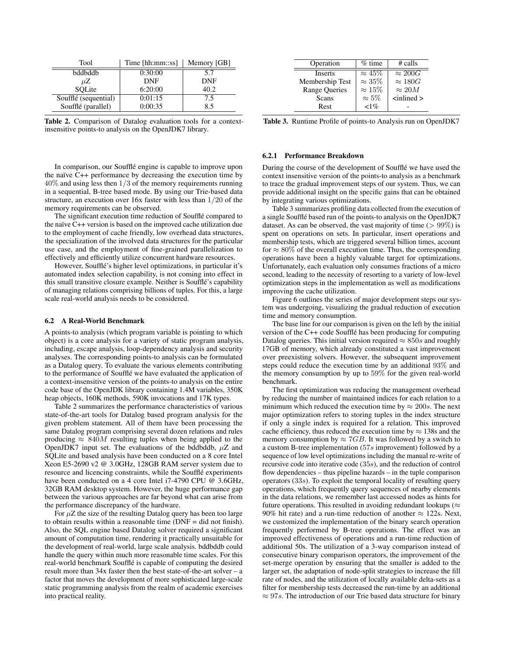| Tool                 | Time [hh:mm::ss] | Memory [GB] |  |
|----------------------|------------------|-------------|--|
| bddbddb              | 0:30:00          | 5.7         |  |
| μZ                   | <b>DNF</b>       | <b>DNF</b>  |  |
| SQLite               | 6:20:00          | 40.2        |  |
| Soufflé (sequential) | 0:01:15          | 7.5         |  |
| Soufflé (parallel)   | 0:00:35          | 85          |  |

<span id="page-7-0"></span>Table 2. Comparison of Datalog evaluation tools for a contextinsensitive points-to analysis on the OpenJDK7 library.

In comparison, our Soufflé engine is capable to improve upon the naïve C++ performance by decreasing the execution time by  $40\%$  and using less then  $1/3$  of the memory requirements running in a sequential, B-tree based mode. By using our Trie-based data structure, an execution over 16x faster with less than 1/20 of the memory requirements can be observed.

The significant execution time reduction of Soufflé compared to the naïve C++ version is based on the improved cache utilization due to the employment of cache friendly, low overhead data structures, the specialization of the involved data structures for the particular use case, and the employment of fine-grained parallelization to effectively and efficiently utilize concurrent hardware resources.

However, Soufflé's higher level optimizations, in particular it's automated index selection capability, is not coming into effect in this small transitive closure example. Neither is Soufflé's capability of managing relations comprising billions of tuples. For this, a large scale real-world analysis needs to be considered.

#### 6.2 A Real-World Benchmark

A points-to analysis (which program variable is pointing to which object) is a core analysis for a variety of static program analysis, including, escape analysis, loop-dependency analysis and security analyses. The corresponding points-to analysis can be formulated as a Datalog query. To evaluate the various elements contributing to the performance of Soufflé we have evaluated the application of a context-insensitive version of the points-to analysis on the entire code base of the OpenJDK library containing 1.4M variables, 350K heap objects, 160K methods, 590K invocations and 17K types.

Table [2](#page-7-0) summarizes the performance characteristics of various state-of-the-art tools for Datalog based program analysis for the given problem statement. All of them have been processing the same Datalog program comprising several dozen relations and rules producing  $\approx 840M$  resulting tuples when being applied to the OpenJDK7 input set. The evaluations of the bddbddb,  $\mu$ Z and SQLite and based analysis have been conducted on a 8 core Intel Xeon E5-2690 v2 @ 3.0GHz, 128GB RAM server system due to resource and licencing constraints, while the Soufflé experiments have been conducted on a 4 core Intel i7-4790 CPU @ 3.6GHz, 32GB RAM desktop system. However, the huge performance gap between the various approaches are far beyond what can arise from the performance discrepancy of the hardware.

For  $\mu$ Z the size of the resulting Datalog query has been too large to obtain results within a reasonable time (DNF = did not finish). Also, the SQL engine based Datalog solver required a significant amount of computation time, rendering it practically unsuitable for the development of real-world, large scale analysis. bddbddb could handle the query within much more reasonable time scales. For this real-world benchmark Soufflé is capable of computing the desired result more than 34x faster then the best state-of-the-art solver – a factor that moves the development of more sophisticated large-scale static programming analysis from the realm of academic exercises into practical reality.

| Operation            | $%$ time       | $#$ calls                   |
|----------------------|----------------|-----------------------------|
| <b>Inserts</b>       | $\approx 45\%$ | $\approx 200G$              |
| Membership Test      | $\approx 35\%$ | $\approx 180G$              |
| <b>Range Queries</b> | $\approx 15\%$ | $\approx 20M$               |
| Scans                | $\approx 5\%$  | $\langle$ inlined $\rangle$ |
| Rest                 | $1\%$          |                             |

<span id="page-7-1"></span>Table 3. Runtime Profile of points-to Analysis run on OpenJDK7

#### 6.2.1 Performance Breakdown

During the course of the development of Soufflé we have used the context insensitive version of the points-to analysis as a benchmark to trace the gradual improvement steps of our system. Thus, we can provide additional insight on the specific gains that can be obtained by integrating various optimizations.

Table [3](#page-7-1) summarizes profiling data collected from the execution of a single Soufflé based run of the points-to analysis on the OpenJDK7 dataset. As can be observed, the vast majority of time ( $> 99\%$ ) is spent on operations on sets. In particular, insert operations and membership tests, which are triggered several billion times, account for  $\approx 80\%$  of the overall execution time. Thus, the corresponding operations have been a highly valuable target for optimizations. Unfortunately, each evaluation only consumes fractions of a micro second, leading to the necessity of resorting to a variety of low-level optimization steps in the implementation as well as modifications improving the cache utilization.

Figure [6](#page-8-1) outlines the series of major development steps our system was undergoing, visualizing the gradual reduction of execution time and memory consumption.

The base line for our comparison is given on the left by the initial version of the C++ code Soufflé has been producing for computing Datalog queries. This initial version required  $\approx 850s$  and roughly 17GB of memory, which already constituted a vast improvement over preexisting solvers. However, the subsequent improvement steps could reduce the execution time by an additional 93% and the memory consumption by up to 59% for the given real-world benchmark.

The first optimization was reducing the management overhead by reducing the number of maintained indices for each relation to a minimum which reduced the execution time by  $\approx 200s$ . The next major optimization refers to storing tuples in the index structure if only a single index is required for a relation. This improved cache efficiency, thus reduced the execution time by  $\approx 138$ s and the memory consumption by  $\approx$  7GB. It was followed by a switch to a custom B-tree implementation (57s improvement) followed by a sequence of low level optimizations including the manual re-write of recursive code into iterative code (35s), and the reduction of control flow dependencies – thus pipeline hazards – in the tuple comparison operators (33s). To exploit the temporal locality of resulting query operations, which frequently query sequences of nearby elements in the data relations, we remember last accessed nodes as hints for future operations. This resulted in avoiding redundant lookups ( $\approx$ 90% hit rate) and a run-time reduction of another  $\approx$  122s. Next, we customized the implementation of the binary search operation frequently performed by B-tree operations. The effect was an improved effectiveness of operations and a run-time reduction of additional 50s. The utilization of a 3-way comparison instead of consecutive binary comparison operators, the improvement of the set-merge operation by ensuring that the smaller is added to the larger set, the adaptation of node-split strategies to increase the fill rate of nodes, and the utilization of locally available delta-sets as a filter for membership tests decreased the run-time by an additional  $\approx 97s$ . The introduction of our Trie based data structure for binary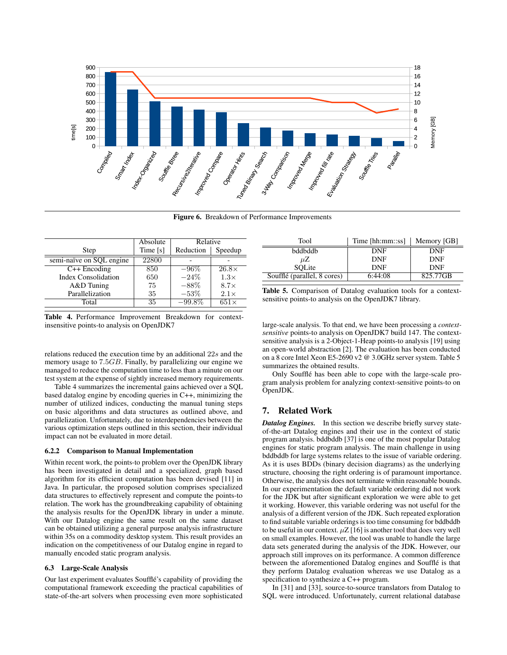

<span id="page-8-1"></span>Figure 6. Breakdown of Performance Improvements

|                          | Relative   |           |              |
|--------------------------|------------|-----------|--------------|
|                          | Absolute   |           |              |
| Step                     | Time $[s]$ | Reduction | Speedup      |
| semi-naïve on SQL engine | 22800      |           |              |
| $C++$ Encoding           | 850        | $-96\%$   | $26.8\times$ |
| Index Consolidation      | 650        | $-24%$    | $1.3\times$  |
| A&D Tuning               | 75         | $-88\%$   | $8.7\times$  |
| Parallelization          | 35         | $-53%$    | $2.1\times$  |
| Total                    | 35         | $-99.8%$  | $651\times$  |

<span id="page-8-2"></span>Table 4. Performance Improvement Breakdown for contextinsensitive points-to analysis on OpenJDK7

relations reduced the execution time by an additional 22s and the memory usage to 7.5*GB*. Finally, by parallelizing our engine we managed to reduce the computation time to less than a minute on our test system at the expense of sightly increased memory requirements.

Table [4](#page-8-2) summarizes the incremental gains achieved over a SQL based datalog engine by encoding queries in C++, minimizing the number of utilized indices, conducting the manual tuning steps on basic algorithms and data structures as outlined above, and parallelization. Unfortunately, due to interdependencies between the various optimization steps outlined in this section, their individual impact can not be evaluated in more detail.

#### 6.2.2 Comparison to Manual Implementation

Within recent work, the points-to problem over the OpenJDK library has been investigated in detail and a specialized, graph based algorithm for its efficient computation has been devised [\[11\]](#page-9-4) in Java. In particular, the proposed solution comprises specialized data structures to effectively represent and compute the points-to relation. The work has the groundbreaking capability of obtaining the analysis results for the OpenJDK library in under a minute. With our Datalog engine the same result on the same dataset can be obtained utilizing a general purpose analysis infrastructure within 35s on a commodity desktop system. This result provides an indication on the competitiveness of our Datalog engine in regard to manually encoded static program analysis.

#### 6.3 Large-Scale Analysis

Our last experiment evaluates Soufflé's capability of providing the computational framework exceeding the practical capabilities of state-of-the-art solvers when processing even more sophisticated

| Tool                        | Time [hh:mm::ss] | Memory [GB] |
|-----------------------------|------------------|-------------|
| bddbddb                     | <b>DNF</b>       | <b>DNF</b>  |
| $\mu Z$                     | <b>DNF</b>       | <b>DNF</b>  |
| SOLite                      | <b>DNF</b>       | <b>DNF</b>  |
| Soufflé (parallel, 8 cores) | 6:44:08          | 825.77GB    |

<span id="page-8-3"></span>Table 5. Comparison of Datalog evaluation tools for a contextsensitive points-to analysis on the OpenJDK7 library.

large-scale analysis. To that end, we have been processing a *contextsensitive* points-to analysis on OpenJDK7 build 147. The contextsensitive analysis is a 2-Object-1-Heap points-to analysis [\[19\]](#page-10-9) using an open-world abstraction [\[2\]](#page-9-0). The evaluation has been conducted on a 8 core Intel Xeon E5-2690 v2 @ 3.0GHz server system. Table [5](#page-8-3) summarizes the obtained results.

Only Soufflé has been able to cope with the large-scale program analysis problem for analyzing context-sensitive points-to on OpenJDK.

# <span id="page-8-0"></span>7. Related Work

*Datalog Engines.* In this section we describe briefly survey stateof-the-art Datalog engines and their use in the context of static program analysis. bddbddb [\[37\]](#page-10-4) is one of the most popular Datalog engines for static program analysis. The main challenge in using bddbddb for large systems relates to the issue of variable ordering. As it is uses BDDs (binary decision diagrams) as the underlying structure, choosing the right ordering is of paramount importance. Otherwise, the analysis does not terminate within reasonable bounds. In our experimentation the default variable ordering did not work for the JDK but after significant exploration we were able to get it working. However, this variable ordering was not useful for the analysis of a different version of the JDK. Such repeated exploration to find suitable variable orderings is too time consuming for bddbddb to be useful in our context.  $\mu Z$  [\[16\]](#page-10-10) is another tool that does very well on small examples. However, the tool was unable to handle the large data sets generated during the analysis of the JDK. However, our approach still improves on its performance. A common difference between the aforementioned Datalog engines and Soufflé is that they perform Datalog evaluation whereas we use Datalog as a specification to synthesize a C++ program.

In [\[31\]](#page-10-11) and [\[33\]](#page-10-12), source-to-source translators from Datalog to SQL were introduced. Unfortunately, current relational database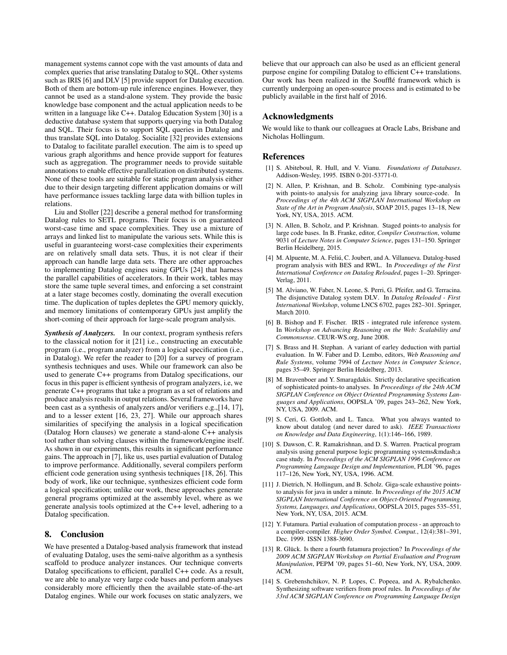management systems cannot cope with the vast amounts of data and complex queries that arise translating Datalog to SQL. Other systems such as IRIS [\[6\]](#page-9-10) and DLV [\[5\]](#page-9-11) provide support for Datalog execution. Both of them are bottom-up rule inference engines. However, they cannot be used as a stand-alone system. They provide the basic knowledge base component and the actual application needs to be written in a language like C++. Datalog Education System [\[30\]](#page-10-13) is a deductive database system that supports querying via both Datalog and SQL. Their focus is to support SQL queries in Datalog and thus translate SQL into Datalog. Socialite [\[32\]](#page-10-14) provides extensions to Datalog to facilitate parallel execution. The aim is to speed up various graph algorithms and hence provide support for features such as aggregation. The programmer needs to provide suitable annotations to enable effective parallelization on distributed systems. None of these tools are suitable for static program analysis either due to their design targeting different application domains or will have performance issues tackling large data with billion tuples in relations.

Liu and Stoller [\[22\]](#page-10-15) describe a general method for transforming Datalog rules to SETL programs. Their focus is on guaranteed worst-case time and space complexities. They use a mixture of arrays and linked list to manipulate the various sets. While this is useful in guaranteeing worst-case complexities their experiments are on relatively small data sets. Thus, it is not clear if their approach can handle large data sets. There are other approaches to implementing Datalog engines using GPUs [\[24\]](#page-10-16) that harness the parallel capabilities of accelerators. In their work, tables may store the same tuple several times, and enforcing a set constraint at a later stage becomes costly, dominating the overall execution time. The duplication of tuples depletes the GPU memory quickly, and memory limitations of contemporary GPUs just amplify the short-coming of their approach for large-scale program analysis.

*Synthesis of Analyzers.* In our context, program synthesis refers to the classical notion for it [\[21\]](#page-10-17) i.e., constructing an executable program (i.e., program analyzer) from a logical specification (i.e., in Datalog). We refer the reader to [\[20\]](#page-10-18) for a survey of program synthesis techniques and uses. While our framework can also be used to generate C++ programs from Datalog specifications, our focus in this paper is efficient synthesis of program analyzers, i.e, we generate C++ programs that take a program as a set of relations and produce analysis results in output relations. Several frameworks have been cast as a synthesis of analyzers and/or verifiers e.g.,[\[14,](#page-9-12) [17\]](#page-10-19), and to a lesser extent [\[16,](#page-10-10) [23,](#page-10-20) [27\]](#page-10-21). While our approach shares similarities of specifying the analysis in a logical specification (Datalog Horn clauses) we generate a stand-alone C++ analysis tool rather than solving clauses within the framework/engine itself. As shown in our experiments, this results in significant performance gains. The approach in [\[7\]](#page-9-13), like us, uses partial evaluation of Datalog to improve performance. Additionally, several compilers perform efficient code generation using synthesis techniques [\[18,](#page-10-6) [26\]](#page-10-22). This body of work, like our technique, synthesizes efficient code form a logical specification; unlike our work, these approaches generate general programs optimized at the assembly level, where as we generate analysis tools optimized at the C++ level, adhering to a Datalog specification.

## <span id="page-9-5"></span>8. Conclusion

We have presented a Datalog-based analysis framework that instead of evaluating Datalog, uses the semi-naïve algorithm as a synthesis scaffold to produce analyzer instances. Our technique converts Datalog specifications to efficient, parallel C++ code. As a result, we are able to analyze very large code bases and perform analyses considerably more efficiently then the available state-of-the-art Datalog engines. While our work focuses on static analyzers, we believe that our approach can also be used as an efficient general purpose engine for compiling Datalog to efficient C++ translations. Our work has been realized in the Soufflé framework which is currently undergoing an open-source process and is estimated to be publicly available in the first half of 2016.

## Acknowledgments

We would like to thank our colleagues at Oracle Labs, Brisbane and Nicholas Hollingum.

#### References

- <span id="page-9-6"></span>[1] S. Abiteboul, R. Hull, and V. Vianu. *Foundations of Databases*. Addison-Wesley, 1995. ISBN 0-201-53771-0.
- <span id="page-9-0"></span>[2] N. Allen, P. Krishnan, and B. Scholz. Combining type-analysis with points-to analysis for analyzing java library source-code. In *Proceedings of the 4th ACM SIGPLAN International Workshop on State of the Art in Program Analysis*, SOAP 2015, pages 13–18, New York, NY, USA, 2015. ACM.
- [3] N. Allen, B. Scholz, and P. Krishnan. Staged points-to analysis for large code bases. In B. Franke, editor, *Compiler Construction*, volume 9031 of *Lecture Notes in Computer Science*, pages 131–150. Springer Berlin Heidelberg, 2015.
- <span id="page-9-1"></span>[4] M. Alpuente, M. A. Feliú, C. Joubert, and A. Villanueva. Datalog-based program analysis with BES and RWL. In *Proceedings of the First International Conference on Datalog Reloaded*, pages 1–20. Springer-Verlag, 2011.
- <span id="page-9-11"></span>[5] M. Alviano, W. Faber, N. Leone, S. Perri, G. Pfeifer, and G. Terracina. The disjunctive Datalog system DLV. In *Datalog Reloaded - First International Workshop*, volume LNCS 6702, pages 282–301. Springer, March 2010.
- <span id="page-9-10"></span>[6] B. Bishop and F. Fischer. IRIS - integrated rule inference system. In *Workshop on Advancing Reasoning on the Web: Scalability and Commonsense*. CEUR-WS.org, June 2008.
- <span id="page-9-13"></span>[7] S. Brass and H. Stephan. A variant of earley deduction with partial evaluation. In W. Faber and D. Lembo, editors, *Web Reasoning and Rule Systems*, volume 7994 of *Lecture Notes in Computer Science*, pages 35–49. Springer Berlin Heidelberg, 2013.
- <span id="page-9-2"></span>[8] M. Bravenboer and Y. Smaragdakis. Strictly declarative specification of sophisticated points-to analyses. In *Proceedings of the 24th ACM SIGPLAN Conference on Object Oriented Programming Systems Languages and Applications*, OOPSLA '09, pages 243–262, New York, NY, USA, 2009. ACM.
- <span id="page-9-7"></span>[9] S. Ceri, G. Gottlob, and L. Tanca. What you always wanted to know about datalog (and never dared to ask). *IEEE Transactions on Knowledge and Data Engineering*, 1(1):146–166, 1989.
- <span id="page-9-3"></span>[10] S. Dawson, C. R. Ramakrishnan, and D. S. Warren. Practical program analysis using general purpose logic programming systems—a case study. In *Proceedings of the ACM SIGPLAN 1996 Conference on Programming Language Design and Implementation*, PLDI '96, pages 117–126, New York, NY, USA, 1996. ACM.
- <span id="page-9-4"></span>[11] J. Dietrich, N. Hollingum, and B. Scholz. Giga-scale exhaustive pointsto analysis for java in under a minute. In *Proceedings of the 2015 ACM SIGPLAN International Conference on Object-Oriented Programming, Systems, Languages, and Applications*, OOPSLA 2015, pages 535–551, New York, NY, USA, 2015. ACM.
- <span id="page-9-8"></span>[12] Y. Futamura. Partial evaluation of computation process - an approach to a compiler-compiler. *Higher Order Symbol. Comput.*, 12(4):381–391, Dec. 1999. ISSN 1388-3690.
- <span id="page-9-9"></span>[13] R. Glück. Is there a fourth futamura projection? In *Proceedings of the 2009 ACM SIGPLAN Workshop on Partial Evaluation and Program Manipulation*, PEPM '09, pages 51–60, New York, NY, USA, 2009. ACM.
- <span id="page-9-12"></span>[14] S. Grebenshchikov, N. P. Lopes, C. Popeea, and A. Rybalchenko. Synthesizing software verifiers from proof rules. In *Proceedings of the 33rd ACM SIGPLAN Conference on Programming Language Design*